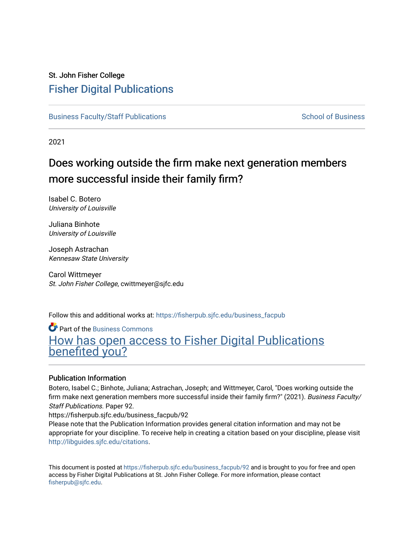# St. John Fisher College [Fisher Digital Publications](https://fisherpub.sjfc.edu/)

[Business Faculty/Staff Publications](https://fisherpub.sjfc.edu/business_facpub) [School of Business](https://fisherpub.sjfc.edu/business_fac) School of Business School of Business

2021

# Does working outside the firm make next generation members more successful inside their family firm?

Isabel C. Botero University of Louisville

Juliana Binhote University of Louisville

Joseph Astrachan Kennesaw State University

Carol Wittmeyer St. John Fisher College, cwittmeyer@sjfc.edu

Follow this and additional works at: [https://fisherpub.sjfc.edu/business\\_facpub](https://fisherpub.sjfc.edu/business_facpub?utm_source=fisherpub.sjfc.edu%2Fbusiness_facpub%2F92&utm_medium=PDF&utm_campaign=PDFCoverPages) 

**C** Part of the [Business Commons](https://network.bepress.com/hgg/discipline/622?utm_source=fisherpub.sjfc.edu%2Fbusiness_facpub%2F92&utm_medium=PDF&utm_campaign=PDFCoverPages) [How has open access to Fisher Digital Publications](https://docs.google.com/forms/d/14zrnDfH9d1wcdq8oG_-gFabAsxfcH5claltx85ZWyTg/viewform?entry.1394608989=https://fisherpub.sjfc.edu/business_facpub/92%3Chttps://docs.google.com/forms/d/14zrnDfH9d1wcdq8oG_-gFabAsxfcH5claltx85ZWyTg/viewform?entry.1394608989=%7bhttps://fisherpub.sjfc.edu/business_facpub/92%7d) [benefited you?](https://docs.google.com/forms/d/14zrnDfH9d1wcdq8oG_-gFabAsxfcH5claltx85ZWyTg/viewform?entry.1394608989=https://fisherpub.sjfc.edu/business_facpub/92%3Chttps://docs.google.com/forms/d/14zrnDfH9d1wcdq8oG_-gFabAsxfcH5claltx85ZWyTg/viewform?entry.1394608989=%7bhttps://fisherpub.sjfc.edu/business_facpub/92%7d)

### Publication Information

Botero, Isabel C.; Binhote, Juliana; Astrachan, Joseph; and Wittmeyer, Carol, "Does working outside the firm make next generation members more successful inside their family firm?" (2021). Business Faculty/ Staff Publications. Paper 92.

https://fisherpub.sjfc.edu/business\_facpub/92

Please note that the Publication Information provides general citation information and may not be appropriate for your discipline. To receive help in creating a citation based on your discipline, please visit [http://libguides.sjfc.edu/citations.](http://libguides.sjfc.edu/citations)

This document is posted at [https://fisherpub.sjfc.edu/business\\_facpub/92](https://fisherpub.sjfc.edu/business_facpub/92) and is brought to you for free and open access by Fisher Digital Publications at St. John Fisher College. For more information, please contact [fisherpub@sjfc.edu](mailto:fisherpub@sjfc.edu).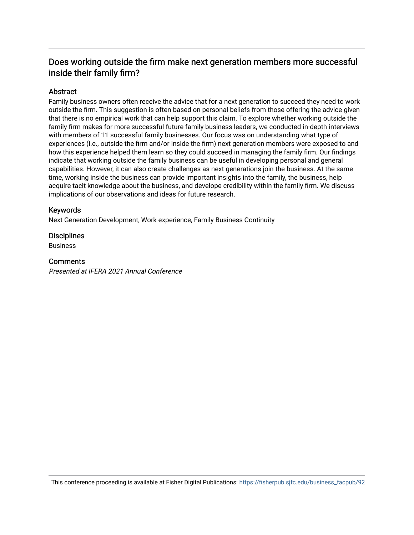# Does working outside the firm make next generation members more successful inside their family firm?

### Abstract

Family business owners often receive the advice that for a next generation to succeed they need to work outside the firm. This suggestion is often based on personal beliefs from those offering the advice given that there is no empirical work that can help support this claim. To explore whether working outside the family firm makes for more successful future family business leaders, we conducted in-depth interviews with members of 11 successful family businesses. Our focus was on understanding what type of experiences (i.e., outside the firm and/or inside the firm) next generation members were exposed to and how this experience helped them learn so they could succeed in managing the family firm. Our findings indicate that working outside the family business can be useful in developing personal and general capabilities. However, it can also create challenges as next generations join the business. At the same time, working inside the business can provide important insights into the family, the business, help acquire tacit knowledge about the business, and develope credibility within the family firm. We discuss implications of our observations and ideas for future research.

### Keywords

Next Generation Development, Work experience, Family Business Continuity

### **Disciplines**

Business

### **Comments**

Presented at IFERA 2021 Annual Conference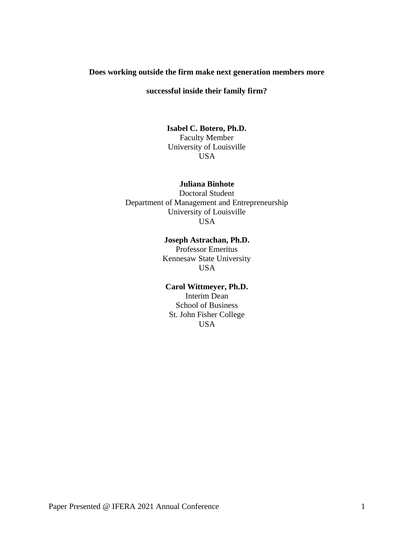### **Does working outside the firm make next generation members more**

### **successful inside their family firm?**

# **Isabel C. Botero, Ph.D.**

Faculty Member University of Louisville USA

#### **Juliana Binhote**

Doctoral Student Department of Management and Entrepreneurship University of Louisville **USA** 

#### **Joseph Astrachan, Ph.D.**

Professor Emeritus Kennesaw State University USA

### **Carol Wittmeyer, Ph.D.**

Interim Dean School of Business St. John Fisher College USA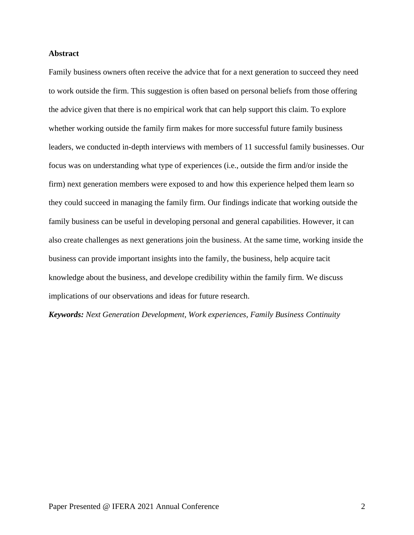#### **Abstract**

Family business owners often receive the advice that for a next generation to succeed they need to work outside the firm. This suggestion is often based on personal beliefs from those offering the advice given that there is no empirical work that can help support this claim. To explore whether working outside the family firm makes for more successful future family business leaders, we conducted in-depth interviews with members of 11 successful family businesses. Our focus was on understanding what type of experiences (i.e., outside the firm and/or inside the firm) next generation members were exposed to and how this experience helped them learn so they could succeed in managing the family firm. Our findings indicate that working outside the family business can be useful in developing personal and general capabilities. However, it can also create challenges as next generations join the business. At the same time, working inside the business can provide important insights into the family, the business, help acquire tacit knowledge about the business, and develope credibility within the family firm. We discuss implications of our observations and ideas for future research.

*Keywords: Next Generation Development, Work experiences, Family Business Continuity*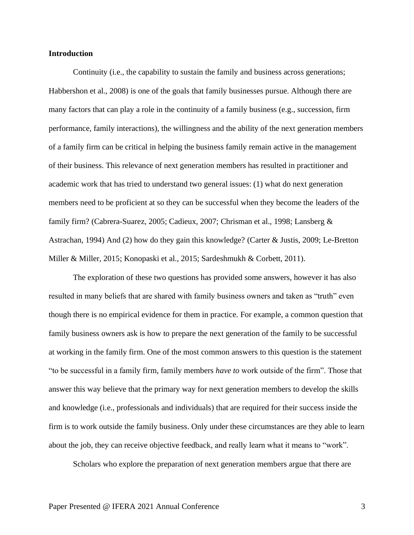#### **Introduction**

Continuity (i.e., the capability to sustain the family and business across generations; Habbershon et al., 2008) is one of the goals that family businesses pursue. Although there are many factors that can play a role in the continuity of a family business (e.g., succession, firm performance, family interactions), the willingness and the ability of the next generation members of a family firm can be critical in helping the business family remain active in the management of their business. This relevance of next generation members has resulted in practitioner and academic work that has tried to understand two general issues: (1) what do next generation members need to be proficient at so they can be successful when they become the leaders of the family firm? (Cabrera-Suarez, 2005; Cadieux, 2007; Chrisman et al., 1998; Lansberg & Astrachan, 1994) And (2) how do they gain this knowledge? (Carter & Justis, 2009; Le-Bretton Miller & Miller, 2015; Konopaski et al., 2015; Sardeshmukh & Corbett, 2011).

The exploration of these two questions has provided some answers, however it has also resulted in many beliefs that are shared with family business owners and taken as "truth" even though there is no empirical evidence for them in practice. For example, a common question that family business owners ask is how to prepare the next generation of the family to be successful at working in the family firm. One of the most common answers to this question is the statement "to be successful in a family firm, family members *have to* work outside of the firm". Those that answer this way believe that the primary way for next generation members to develop the skills and knowledge (i.e., professionals and individuals) that are required for their success inside the firm is to work outside the family business. Only under these circumstances are they able to learn about the job, they can receive objective feedback, and really learn what it means to "work".

Scholars who explore the preparation of next generation members argue that there are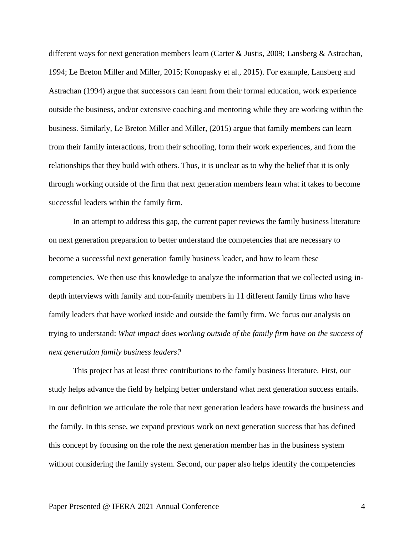different ways for next generation members learn (Carter & Justis, 2009; Lansberg & Astrachan, 1994; Le Breton Miller and Miller, 2015; Konopasky et al., 2015). For example, Lansberg and Astrachan (1994) argue that successors can learn from their formal education, work experience outside the business, and/or extensive coaching and mentoring while they are working within the business. Similarly, Le Breton Miller and Miller, (2015) argue that family members can learn from their family interactions, from their schooling, form their work experiences, and from the relationships that they build with others. Thus, it is unclear as to why the belief that it is only through working outside of the firm that next generation members learn what it takes to become successful leaders within the family firm.

In an attempt to address this gap, the current paper reviews the family business literature on next generation preparation to better understand the competencies that are necessary to become a successful next generation family business leader, and how to learn these competencies. We then use this knowledge to analyze the information that we collected using indepth interviews with family and non-family members in 11 different family firms who have family leaders that have worked inside and outside the family firm. We focus our analysis on trying to understand: *What impact does working outside of the family firm have on the success of next generation family business leaders?*

This project has at least three contributions to the family business literature. First, our study helps advance the field by helping better understand what next generation success entails. In our definition we articulate the role that next generation leaders have towards the business and the family. In this sense, we expand previous work on next generation success that has defined this concept by focusing on the role the next generation member has in the business system without considering the family system. Second, our paper also helps identify the competencies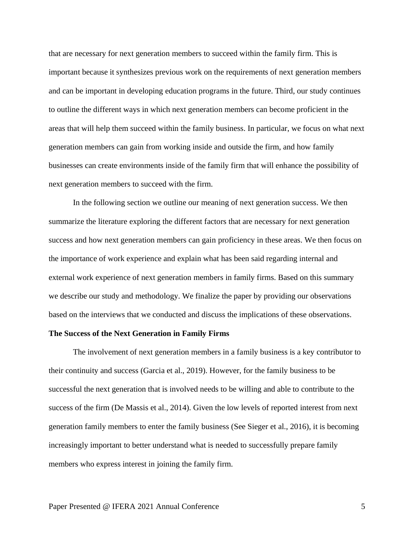that are necessary for next generation members to succeed within the family firm. This is important because it synthesizes previous work on the requirements of next generation members and can be important in developing education programs in the future. Third, our study continues to outline the different ways in which next generation members can become proficient in the areas that will help them succeed within the family business. In particular, we focus on what next generation members can gain from working inside and outside the firm, and how family businesses can create environments inside of the family firm that will enhance the possibility of next generation members to succeed with the firm.

In the following section we outline our meaning of next generation success. We then summarize the literature exploring the different factors that are necessary for next generation success and how next generation members can gain proficiency in these areas. We then focus on the importance of work experience and explain what has been said regarding internal and external work experience of next generation members in family firms. Based on this summary we describe our study and methodology. We finalize the paper by providing our observations based on the interviews that we conducted and discuss the implications of these observations.

#### **The Success of the Next Generation in Family Firms**

The involvement of next generation members in a family business is a key contributor to their continuity and success (Garcia et al., 2019). However, for the family business to be successful the next generation that is involved needs to be willing and able to contribute to the success of the firm (De Massis et al., 2014). Given the low levels of reported interest from next generation family members to enter the family business (See Sieger et al., 2016), it is becoming increasingly important to better understand what is needed to successfully prepare family members who express interest in joining the family firm.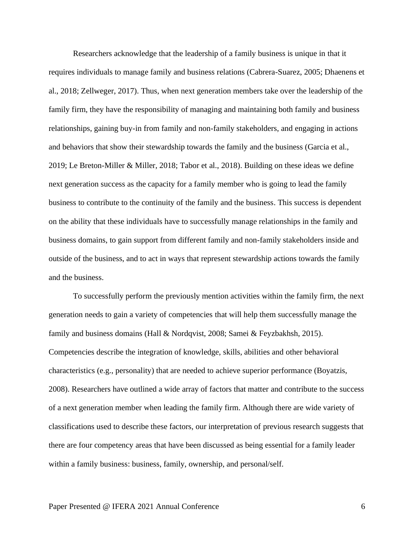Researchers acknowledge that the leadership of a family business is unique in that it requires individuals to manage family and business relations (Cabrera-Suarez, 2005; Dhaenens et al., 2018; Zellweger, 2017). Thus, when next generation members take over the leadership of the family firm, they have the responsibility of managing and maintaining both family and business relationships, gaining buy-in from family and non-family stakeholders, and engaging in actions and behaviors that show their stewardship towards the family and the business (Garcia et al., 2019; Le Breton-Miller & Miller, 2018; Tabor et al., 2018). Building on these ideas we define next generation success as the capacity for a family member who is going to lead the family business to contribute to the continuity of the family and the business. This success is dependent on the ability that these individuals have to successfully manage relationships in the family and business domains, to gain support from different family and non-family stakeholders inside and outside of the business, and to act in ways that represent stewardship actions towards the family and the business.

To successfully perform the previously mention activities within the family firm, the next generation needs to gain a variety of competencies that will help them successfully manage the family and business domains (Hall & Nordqvist, 2008; Samei & Feyzbakhsh, 2015). Competencies describe the integration of knowledge, skills, abilities and other behavioral characteristics (e.g., personality) that are needed to achieve superior performance (Boyatzis, 2008). Researchers have outlined a wide array of factors that matter and contribute to the success of a next generation member when leading the family firm. Although there are wide variety of classifications used to describe these factors, our interpretation of previous research suggests that there are four competency areas that have been discussed as being essential for a family leader within a family business: business, family, ownership, and personal/self.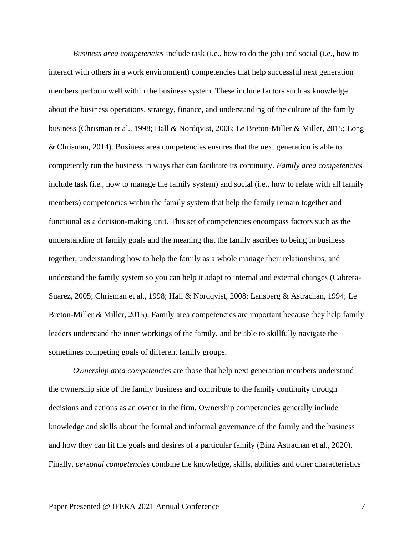*Business area competencies* include task (i.e., how to do the job) and social (i.e., how to interact with others in a work environment) competencies that help successful next generation members perform well within the business system. These include factors such as knowledge about the business operations, strategy, finance, and understanding of the culture of the family business (Chrisman et al., 1998; Hall & Nordqvist, 2008; Le Breton-Miller & Miller, 2015; Long & Chrisman, 2014). Business area competencies ensures that the next generation is able to competently run the business in ways that can facilitate its continuity. *Family area competencies* include task (i.e., how to manage the family system) and social (i.e., how to relate with all family members) competencies within the family system that help the family remain together and functional as a decision-making unit. This set of competencies encompass factors such as the understanding of family goals and the meaning that the family ascribes to being in business together, understanding how to help the family as a whole manage their relationships, and understand the family system so you can help it adapt to internal and external changes (Cabrera-Suarez, 2005; Chrisman et al., 1998; Hall & Nordqvist, 2008; Lansberg & Astrachan, 1994; Le Breton-Miller & Miller, 2015). Family area competencies are important because they help family leaders understand the inner workings of the family, and be able to skillfully navigate the sometimes competing goals of different family groups.

*Ownership area competencies* are those that help next generation members understand the ownership side of the family business and contribute to the family continuity through decisions and actions as an owner in the firm. Ownership competencies generally include knowledge and skills about the formal and informal governance of the family and the business and how they can fit the goals and desires of a particular family (Binz Astrachan et al., 2020). Finally, *personal competencies* combine the knowledge, skills, abilities and other characteristics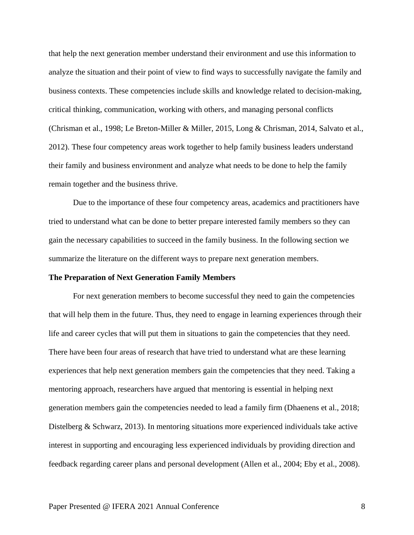that help the next generation member understand their environment and use this information to analyze the situation and their point of view to find ways to successfully navigate the family and business contexts. These competencies include skills and knowledge related to decision-making, critical thinking, communication, working with others, and managing personal conflicts (Chrisman et al., 1998; Le Breton-Miller & Miller, 2015, Long & Chrisman, 2014, Salvato et al., 2012). These four competency areas work together to help family business leaders understand their family and business environment and analyze what needs to be done to help the family remain together and the business thrive.

Due to the importance of these four competency areas, academics and practitioners have tried to understand what can be done to better prepare interested family members so they can gain the necessary capabilities to succeed in the family business. In the following section we summarize the literature on the different ways to prepare next generation members.

#### **The Preparation of Next Generation Family Members**

For next generation members to become successful they need to gain the competencies that will help them in the future. Thus, they need to engage in learning experiences through their life and career cycles that will put them in situations to gain the competencies that they need. There have been four areas of research that have tried to understand what are these learning experiences that help next generation members gain the competencies that they need. Taking a mentoring approach, researchers have argued that mentoring is essential in helping next generation members gain the competencies needed to lead a family firm (Dhaenens et al., 2018; Distelberg & Schwarz, 2013). In mentoring situations more experienced individuals take active interest in supporting and encouraging less experienced individuals by providing direction and feedback regarding career plans and personal development (Allen et al., 2004; Eby et al., 2008).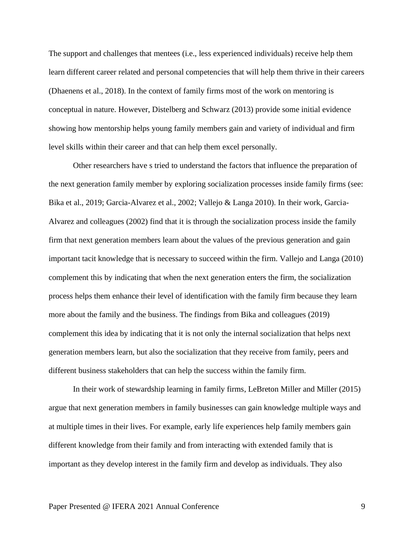The support and challenges that mentees (i.e., less experienced individuals) receive help them learn different career related and personal competencies that will help them thrive in their careers (Dhaenens et al., 2018). In the context of family firms most of the work on mentoring is conceptual in nature. However, Distelberg and Schwarz (2013) provide some initial evidence showing how mentorship helps young family members gain and variety of individual and firm level skills within their career and that can help them excel personally.

Other researchers have s tried to understand the factors that influence the preparation of the next generation family member by exploring socialization processes inside family firms (see: Bika et al., 2019; Garcia-Alvarez et al., 2002; Vallejo & Langa 2010). In their work, Garcia-Alvarez and colleagues (2002) find that it is through the socialization process inside the family firm that next generation members learn about the values of the previous generation and gain important tacit knowledge that is necessary to succeed within the firm. Vallejo and Langa (2010) complement this by indicating that when the next generation enters the firm, the socialization process helps them enhance their level of identification with the family firm because they learn more about the family and the business. The findings from Bika and colleagues (2019) complement this idea by indicating that it is not only the internal socialization that helps next generation members learn, but also the socialization that they receive from family, peers and different business stakeholders that can help the success within the family firm.

In their work of stewardship learning in family firms, LeBreton Miller and Miller (2015) argue that next generation members in family businesses can gain knowledge multiple ways and at multiple times in their lives. For example, early life experiences help family members gain different knowledge from their family and from interacting with extended family that is important as they develop interest in the family firm and develop as individuals. They also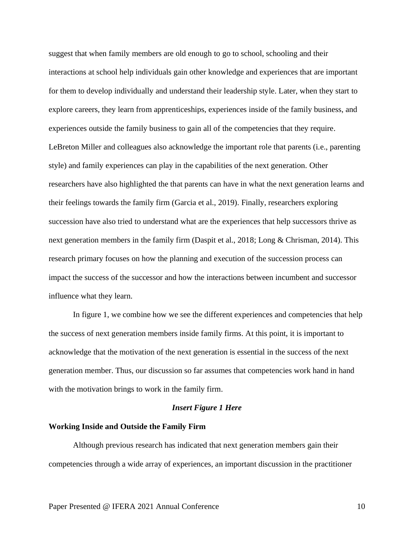suggest that when family members are old enough to go to school, schooling and their interactions at school help individuals gain other knowledge and experiences that are important for them to develop individually and understand their leadership style. Later, when they start to explore careers, they learn from apprenticeships, experiences inside of the family business, and experiences outside the family business to gain all of the competencies that they require. LeBreton Miller and colleagues also acknowledge the important role that parents (i.e., parenting style) and family experiences can play in the capabilities of the next generation. Other researchers have also highlighted the that parents can have in what the next generation learns and their feelings towards the family firm (Garcia et al., 2019). Finally, researchers exploring succession have also tried to understand what are the experiences that help successors thrive as next generation members in the family firm (Daspit et al., 2018; Long & Chrisman, 2014). This research primary focuses on how the planning and execution of the succession process can impact the success of the successor and how the interactions between incumbent and successor influence what they learn.

In figure 1, we combine how we see the different experiences and competencies that help the success of next generation members inside family firms. At this point, it is important to acknowledge that the motivation of the next generation is essential in the success of the next generation member. Thus, our discussion so far assumes that competencies work hand in hand with the motivation brings to work in the family firm.

#### *Insert Figure 1 Here*

#### **Working Inside and Outside the Family Firm**

Although previous research has indicated that next generation members gain their competencies through a wide array of experiences, an important discussion in the practitioner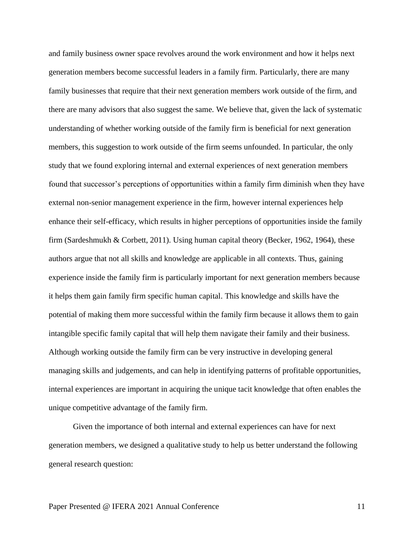and family business owner space revolves around the work environment and how it helps next generation members become successful leaders in a family firm. Particularly, there are many family businesses that require that their next generation members work outside of the firm, and there are many advisors that also suggest the same. We believe that, given the lack of systematic understanding of whether working outside of the family firm is beneficial for next generation members, this suggestion to work outside of the firm seems unfounded. In particular, the only study that we found exploring internal and external experiences of next generation members found that successor's perceptions of opportunities within a family firm diminish when they have external non-senior management experience in the firm, however internal experiences help enhance their self-efficacy, which results in higher perceptions of opportunities inside the family firm (Sardeshmukh & Corbett, 2011). Using human capital theory (Becker, 1962, 1964), these authors argue that not all skills and knowledge are applicable in all contexts. Thus, gaining experience inside the family firm is particularly important for next generation members because it helps them gain family firm specific human capital. This knowledge and skills have the potential of making them more successful within the family firm because it allows them to gain intangible specific family capital that will help them navigate their family and their business. Although working outside the family firm can be very instructive in developing general managing skills and judgements, and can help in identifying patterns of profitable opportunities, internal experiences are important in acquiring the unique tacit knowledge that often enables the unique competitive advantage of the family firm.

Given the importance of both internal and external experiences can have for next generation members, we designed a qualitative study to help us better understand the following general research question: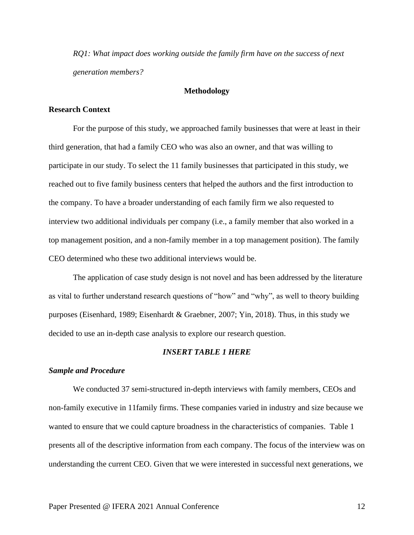*RQ1: What impact does working outside the family firm have on the success of next generation members?*

#### **Methodology**

#### **Research Context**

For the purpose of this study, we approached family businesses that were at least in their third generation, that had a family CEO who was also an owner, and that was willing to participate in our study. To select the 11 family businesses that participated in this study, we reached out to five family business centers that helped the authors and the first introduction to the company. To have a broader understanding of each family firm we also requested to interview two additional individuals per company (i.e., a family member that also worked in a top management position, and a non-family member in a top management position). The family CEO determined who these two additional interviews would be.

The application of case study design is not novel and has been addressed by the literature as vital to further understand research questions of "how" and "why", as well to theory building purposes (Eisenhard, 1989; Eisenhardt & Graebner, 2007; Yin, 2018). Thus, in this study we decided to use an in-depth case analysis to explore our research question.

#### *INSERT TABLE 1 HERE*

#### *Sample and Procedure*

We conducted 37 semi-structured in-depth interviews with family members, CEOs and non-family executive in 11family firms. These companies varied in industry and size because we wanted to ensure that we could capture broadness in the characteristics of companies. Table 1 presents all of the descriptive information from each company. The focus of the interview was on understanding the current CEO. Given that we were interested in successful next generations, we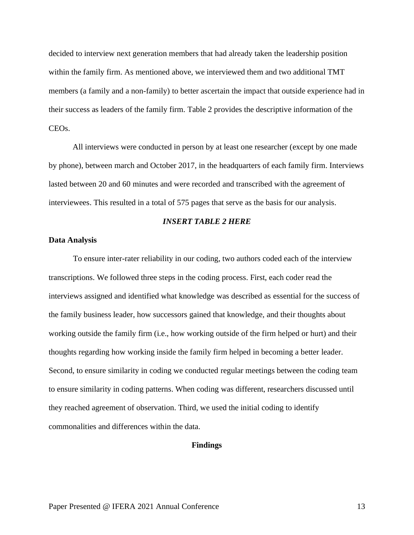decided to interview next generation members that had already taken the leadership position within the family firm. As mentioned above, we interviewed them and two additional TMT members (a family and a non-family) to better ascertain the impact that outside experience had in their success as leaders of the family firm. Table 2 provides the descriptive information of the CEOs.

All interviews were conducted in person by at least one researcher (except by one made by phone), between march and October 2017, in the headquarters of each family firm. Interviews lasted between 20 and 60 minutes and were recorded and transcribed with the agreement of interviewees. This resulted in a total of 575 pages that serve as the basis for our analysis.

#### *INSERT TABLE 2 HERE*

#### **Data Analysis**

To ensure inter-rater reliability in our coding, two authors coded each of the interview transcriptions. We followed three steps in the coding process. First, each coder read the interviews assigned and identified what knowledge was described as essential for the success of the family business leader, how successors gained that knowledge, and their thoughts about working outside the family firm (i.e., how working outside of the firm helped or hurt) and their thoughts regarding how working inside the family firm helped in becoming a better leader. Second, to ensure similarity in coding we conducted regular meetings between the coding team to ensure similarity in coding patterns. When coding was different, researchers discussed until they reached agreement of observation. Third, we used the initial coding to identify commonalities and differences within the data.

#### **Findings**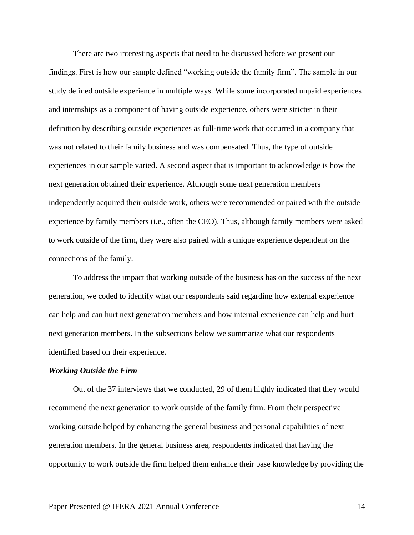There are two interesting aspects that need to be discussed before we present our findings. First is how our sample defined "working outside the family firm". The sample in our study defined outside experience in multiple ways. While some incorporated unpaid experiences and internships as a component of having outside experience, others were stricter in their definition by describing outside experiences as full-time work that occurred in a company that was not related to their family business and was compensated. Thus, the type of outside experiences in our sample varied. A second aspect that is important to acknowledge is how the next generation obtained their experience. Although some next generation members independently acquired their outside work, others were recommended or paired with the outside experience by family members (i.e., often the CEO). Thus, although family members were asked to work outside of the firm, they were also paired with a unique experience dependent on the connections of the family.

To address the impact that working outside of the business has on the success of the next generation, we coded to identify what our respondents said regarding how external experience can help and can hurt next generation members and how internal experience can help and hurt next generation members. In the subsections below we summarize what our respondents identified based on their experience.

#### *Working Outside the Firm*

Out of the 37 interviews that we conducted, 29 of them highly indicated that they would recommend the next generation to work outside of the family firm. From their perspective working outside helped by enhancing the general business and personal capabilities of next generation members. In the general business area, respondents indicated that having the opportunity to work outside the firm helped them enhance their base knowledge by providing the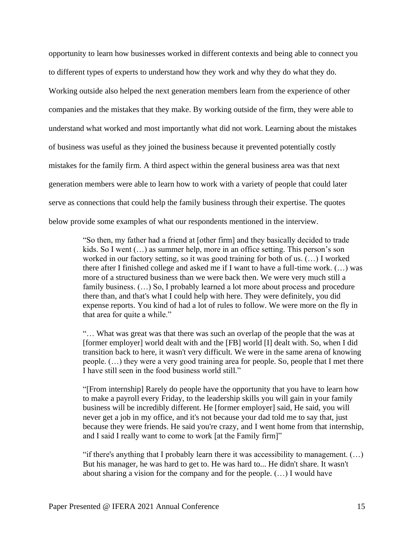opportunity to learn how businesses worked in different contexts and being able to connect you to different types of experts to understand how they work and why they do what they do. Working outside also helped the next generation members learn from the experience of other companies and the mistakes that they make. By working outside of the firm, they were able to understand what worked and most importantly what did not work. Learning about the mistakes of business was useful as they joined the business because it prevented potentially costly mistakes for the family firm. A third aspect within the general business area was that next generation members were able to learn how to work with a variety of people that could later serve as connections that could help the family business through their expertise. The quotes below provide some examples of what our respondents mentioned in the interview.

> "So then, my father had a friend at [other firm] and they basically decided to trade kids. So I went (…) as summer help, more in an office setting. This person's son worked in our factory setting, so it was good training for both of us. (…) I worked there after I finished college and asked me if I want to have a full-time work. (…) was more of a structured business than we were back then. We were very much still a family business.  $(...)$  So, I probably learned a lot more about process and procedure there than, and that's what I could help with here. They were definitely, you did expense reports. You kind of had a lot of rules to follow. We were more on the fly in that area for quite a while."

> "… What was great was that there was such an overlap of the people that the was at [former employer] world dealt with and the [FB] world [I] dealt with. So, when I did transition back to here, it wasn't very difficult. We were in the same arena of knowing people. (…) they were a very good training area for people. So, people that I met there I have still seen in the food business world still."

> "[From internship] Rarely do people have the opportunity that you have to learn how to make a payroll every Friday, to the leadership skills you will gain in your family business will be incredibly different. He [former employer] said, He said, you will never get a job in my office, and it's not because your dad told me to say that, just because they were friends. He said you're crazy, and I went home from that internship, and I said I really want to come to work [at the Family firm]"

> "if there's anything that I probably learn there it was accessibility to management.  $(\ldots)$ But his manager, he was hard to get to. He was hard to... He didn't share. It wasn't about sharing a vision for the company and for the people. (…) I would have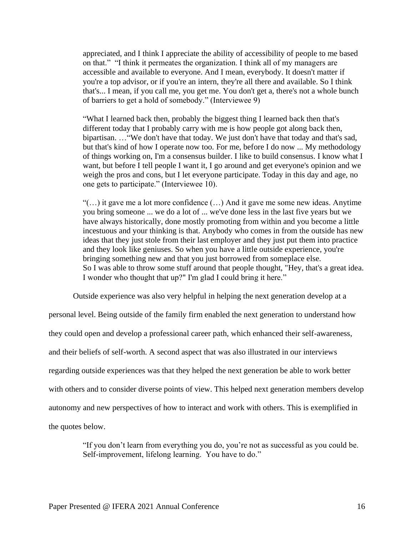appreciated, and I think I appreciate the ability of accessibility of people to me based on that." "I think it permeates the organization. I think all of my managers are accessible and available to everyone. And I mean, everybody. It doesn't matter if you're a top advisor, or if you're an intern, they're all there and available. So I think that's... I mean, if you call me, you get me. You don't get a, there's not a whole bunch of barriers to get a hold of somebody." (Interviewee 9)

"What I learned back then, probably the biggest thing I learned back then that's different today that I probably carry with me is how people got along back then, bipartisan. …"We don't have that today. We just don't have that today and that's sad, but that's kind of how I operate now too. For me, before I do now ... My methodology of things working on, I'm a consensus builder. I like to build consensus. I know what I want, but before I tell people I want it, I go around and get everyone's opinion and we weigh the pros and cons, but I let everyone participate. Today in this day and age, no one gets to participate." (Interviewee 10).

"(…) it gave me a lot more confidence (…) And it gave me some new ideas. Anytime you bring someone ... we do a lot of ... we've done less in the last five years but we have always historically, done mostly promoting from within and you become a little incestuous and your thinking is that. Anybody who comes in from the outside has new ideas that they just stole from their last employer and they just put them into practice and they look like geniuses. So when you have a little outside experience, you're bringing something new and that you just borrowed from someplace else. So I was able to throw some stuff around that people thought, "Hey, that's a great idea. I wonder who thought that up?" I'm glad I could bring it here."

Outside experience was also very helpful in helping the next generation develop at a personal level. Being outside of the family firm enabled the next generation to understand how they could open and develop a professional career path, which enhanced their self-awareness, and their beliefs of self-worth. A second aspect that was also illustrated in our interviews regarding outside experiences was that they helped the next generation be able to work better with others and to consider diverse points of view. This helped next generation members develop autonomy and new perspectives of how to interact and work with others. This is exemplified in the quotes below.

> "If you don't learn from everything you do, you're not as successful as you could be. Self-improvement, lifelong learning. You have to do."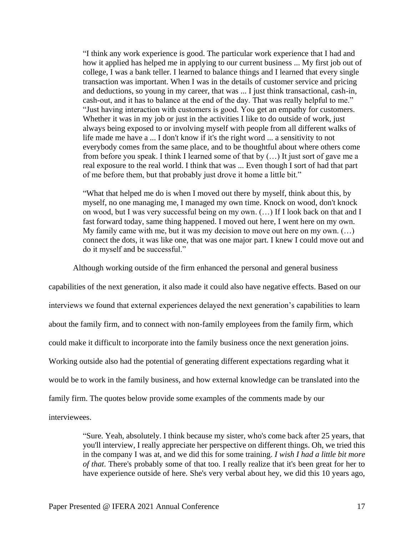"I think any work experience is good. The particular work experience that I had and how it applied has helped me in applying to our current business ... My first job out of college, I was a bank teller. I learned to balance things and I learned that every single transaction was important. When I was in the details of customer service and pricing and deductions, so young in my career, that was ... I just think transactional, cash-in, cash-out, and it has to balance at the end of the day. That was really helpful to me." "Just having interaction with customers is good. You get an empathy for customers. Whether it was in my job or just in the activities I like to do outside of work, just always being exposed to or involving myself with people from all different walks of life made me have a ... I don't know if it's the right word ... a sensitivity to not everybody comes from the same place, and to be thoughtful about where others come from before you speak. I think I learned some of that by (…) It just sort of gave me a real exposure to the real world. I think that was ... Even though I sort of had that part of me before them, but that probably just drove it home a little bit."

"What that helped me do is when I moved out there by myself, think about this, by myself, no one managing me, I managed my own time. Knock on wood, don't knock on wood, but I was very successful being on my own. (…) If I look back on that and I fast forward today, same thing happened. I moved out here, I went here on my own. My family came with me, but it was my decision to move out here on my own. (…) connect the dots, it was like one, that was one major part. I knew I could move out and do it myself and be successful."

Although working outside of the firm enhanced the personal and general business

capabilities of the next generation, it also made it could also have negative effects. Based on our interviews we found that external experiences delayed the next generation's capabilities to learn about the family firm, and to connect with non-family employees from the family firm, which could make it difficult to incorporate into the family business once the next generation joins. Working outside also had the potential of generating different expectations regarding what it would be to work in the family business, and how external knowledge can be translated into the family firm. The quotes below provide some examples of the comments made by our interviewees.

> "Sure. Yeah, absolutely. I think because my sister, who's come back after 25 years, that you'll interview, I really appreciate her perspective on different things. Oh, we tried this in the company I was at, and we did this for some training. *I wish I had a little bit more of that*. There's probably some of that too. I really realize that it's been great for her to have experience outside of here. She's very verbal about hey, we did this 10 years ago,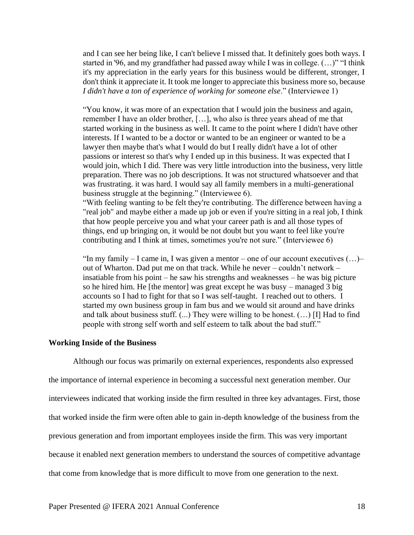and I can see her being like, I can't believe I missed that. It definitely goes both ways. I started in '96, and my grandfather had passed away while I was in college. (…)" "I think it's my appreciation in the early years for this business would be different, stronger, I don't think it appreciate it. It took me longer to appreciate this business more so, because *I didn't have a ton of experience of working for someone else*." (Interviewee 1)

"You know, it was more of an expectation that I would join the business and again, remember I have an older brother, […], who also is three years ahead of me that started working in the business as well. It came to the point where I didn't have other interests. If I wanted to be a doctor or wanted to be an engineer or wanted to be a lawyer then maybe that's what I would do but I really didn't have a lot of other passions or interest so that's why I ended up in this business. It was expected that I would join, which I did. There was very little introduction into the business, very little preparation. There was no job descriptions. It was not structured whatsoever and that was frustrating. it was hard. I would say all family members in a multi-generational business struggle at the beginning." (Interviewee 6).

"With feeling wanting to be felt they're contributing. The difference between having a "real job" and maybe either a made up job or even if you're sitting in a real job, I think that how people perceive you and what your career path is and all those types of things, end up bringing on, it would be not doubt but you want to feel like you're contributing and I think at times, sometimes you're not sure." (Interviewee 6)

"In my family – I came in, I was given a mentor – one of our account executives (…)– out of Wharton. Dad put me on that track. While he never – couldn't network – insatiable from his point – he saw his strengths and weaknesses – he was big picture so he hired him. He [the mentor] was great except he was busy – managed 3 big accounts so I had to fight for that so I was self-taught. I reached out to others. I started my own business group in fam bus and we would sit around and have drinks and talk about business stuff. (...) They were willing to be honest. (…) [I] Had to find people with strong self worth and self esteem to talk about the bad stuff."

#### **Working Inside of the Business**

Although our focus was primarily on external experiences, respondents also expressed the importance of internal experience in becoming a successful next generation member. Our interviewees indicated that working inside the firm resulted in three key advantages. First, those that worked inside the firm were often able to gain in-depth knowledge of the business from the previous generation and from important employees inside the firm. This was very important because it enabled next generation members to understand the sources of competitive advantage that come from knowledge that is more difficult to move from one generation to the next.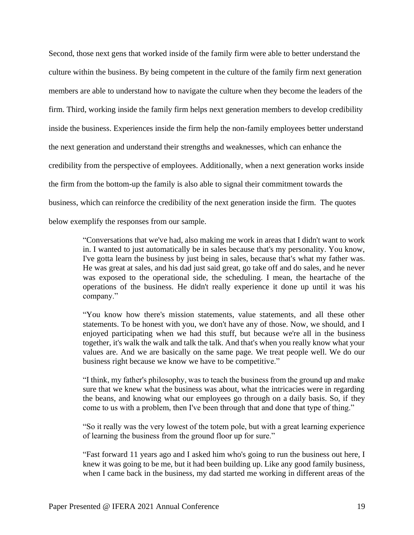Second, those next gens that worked inside of the family firm were able to better understand the culture within the business. By being competent in the culture of the family firm next generation members are able to understand how to navigate the culture when they become the leaders of the firm. Third, working inside the family firm helps next generation members to develop credibility inside the business. Experiences inside the firm help the non-family employees better understand the next generation and understand their strengths and weaknesses, which can enhance the credibility from the perspective of employees. Additionally, when a next generation works inside the firm from the bottom-up the family is also able to signal their commitment towards the business, which can reinforce the credibility of the next generation inside the firm. The quotes below exemplify the responses from our sample.

> "Conversations that we've had, also making me work in areas that I didn't want to work in. I wanted to just automatically be in sales because that's my personality. You know, I've gotta learn the business by just being in sales, because that's what my father was. He was great at sales, and his dad just said great, go take off and do sales, and he never was exposed to the operational side, the scheduling. I mean, the heartache of the operations of the business. He didn't really experience it done up until it was his company."

> "You know how there's mission statements, value statements, and all these other statements. To be honest with you, we don't have any of those. Now, we should, and I enjoyed participating when we had this stuff, but because we're all in the business together, it's walk the walk and talk the talk. And that's when you really know what your values are. And we are basically on the same page. We treat people well. We do our business right because we know we have to be competitive."

> "I think, my father's philosophy, was to teach the business from the ground up and make sure that we knew what the business was about, what the intricacies were in regarding the beans, and knowing what our employees go through on a daily basis. So, if they come to us with a problem, then I've been through that and done that type of thing."

> "So it really was the very lowest of the totem pole, but with a great learning experience of learning the business from the ground floor up for sure."

> "Fast forward 11 years ago and I asked him who's going to run the business out here, I knew it was going to be me, but it had been building up. Like any good family business, when I came back in the business, my dad started me working in different areas of the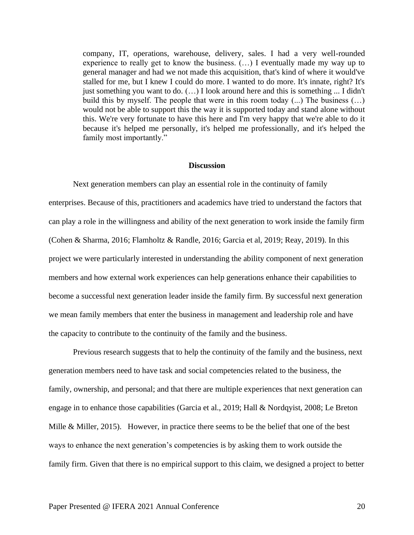company, IT, operations, warehouse, delivery, sales. I had a very well-rounded experience to really get to know the business. (…) I eventually made my way up to general manager and had we not made this acquisition, that's kind of where it would've stalled for me, but I knew I could do more. I wanted to do more. It's innate, right? It's just something you want to do.  $(...)$  I look around here and this is something  $...$  I didn't build this by myself. The people that were in this room today (...) The business (…) would not be able to support this the way it is supported today and stand alone without this. We're very fortunate to have this here and I'm very happy that we're able to do it because it's helped me personally, it's helped me professionally, and it's helped the family most importantly."

### **Discussion**

Next generation members can play an essential role in the continuity of family enterprises. Because of this, practitioners and academics have tried to understand the factors that can play a role in the willingness and ability of the next generation to work inside the family firm (Cohen & Sharma, 2016; Flamholtz & Randle, 2016; Garcia et al, 2019; Reay, 2019). In this project we were particularly interested in understanding the ability component of next generation members and how external work experiences can help generations enhance their capabilities to become a successful next generation leader inside the family firm. By successful next generation we mean family members that enter the business in management and leadership role and have the capacity to contribute to the continuity of the family and the business.

Previous research suggests that to help the continuity of the family and the business, next generation members need to have task and social competencies related to the business, the family, ownership, and personal; and that there are multiple experiences that next generation can engage in to enhance those capabilities (Garcia et al., 2019; Hall & Nordqyist, 2008; Le Breton Mille & Miller, 2015). However, in practice there seems to be the belief that one of the best ways to enhance the next generation's competencies is by asking them to work outside the family firm. Given that there is no empirical support to this claim, we designed a project to better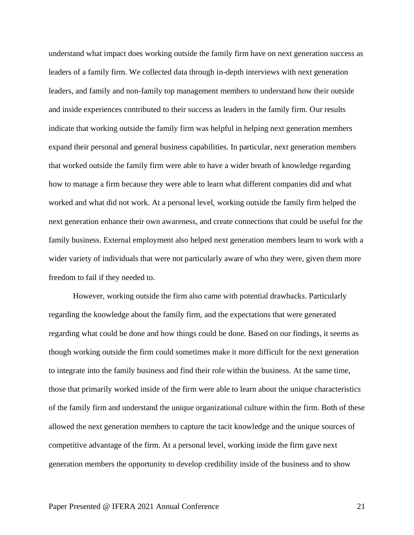understand what impact does working outside the family firm have on next generation success as leaders of a family firm. We collected data through in-depth interviews with next generation leaders, and family and non-family top management members to understand how their outside and inside experiences contributed to their success as leaders in the family firm. Our results indicate that working outside the family firm was helpful in helping next generation members expand their personal and general business capabilities. In particular, next generation members that worked outside the family firm were able to have a wider breath of knowledge regarding how to manage a firm because they were able to learn what different companies did and what worked and what did not work. At a personal level, working outside the family firm helped the next generation enhance their own awareness, and create connections that could be useful for the family business. External employment also helped next generation members learn to work with a wider variety of individuals that were not particularly aware of who they were, given them more freedom to fail if they needed to.

However, working outside the firm also came with potential drawbacks. Particularly regarding the knowledge about the family firm, and the expectations that were generated regarding what could be done and how things could be done. Based on our findings, it seems as though working outside the firm could sometimes make it more difficult for the next generation to integrate into the family business and find their role within the business. At the same time, those that primarily worked inside of the firm were able to learn about the unique characteristics of the family firm and understand the unique organizational culture within the firm. Both of these allowed the next generation members to capture the tacit knowledge and the unique sources of competitive advantage of the firm. At a personal level, working inside the firm gave next generation members the opportunity to develop credibility inside of the business and to show

### Paper Presented @ IFERA 2021 Annual Conference 21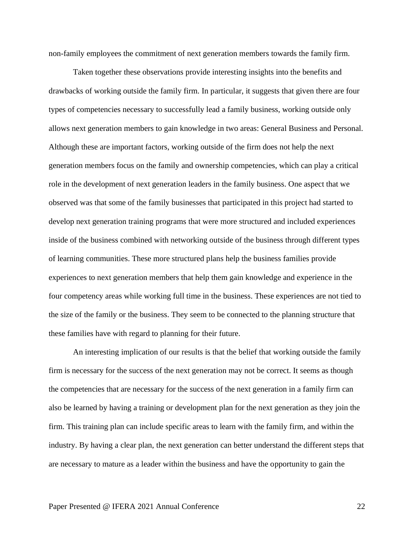non-family employees the commitment of next generation members towards the family firm.

Taken together these observations provide interesting insights into the benefits and drawbacks of working outside the family firm. In particular, it suggests that given there are four types of competencies necessary to successfully lead a family business, working outside only allows next generation members to gain knowledge in two areas: General Business and Personal. Although these are important factors, working outside of the firm does not help the next generation members focus on the family and ownership competencies, which can play a critical role in the development of next generation leaders in the family business. One aspect that we observed was that some of the family businesses that participated in this project had started to develop next generation training programs that were more structured and included experiences inside of the business combined with networking outside of the business through different types of learning communities. These more structured plans help the business families provide experiences to next generation members that help them gain knowledge and experience in the four competency areas while working full time in the business. These experiences are not tied to the size of the family or the business. They seem to be connected to the planning structure that these families have with regard to planning for their future.

An interesting implication of our results is that the belief that working outside the family firm is necessary for the success of the next generation may not be correct. It seems as though the competencies that are necessary for the success of the next generation in a family firm can also be learned by having a training or development plan for the next generation as they join the firm. This training plan can include specific areas to learn with the family firm, and within the industry. By having a clear plan, the next generation can better understand the different steps that are necessary to mature as a leader within the business and have the opportunity to gain the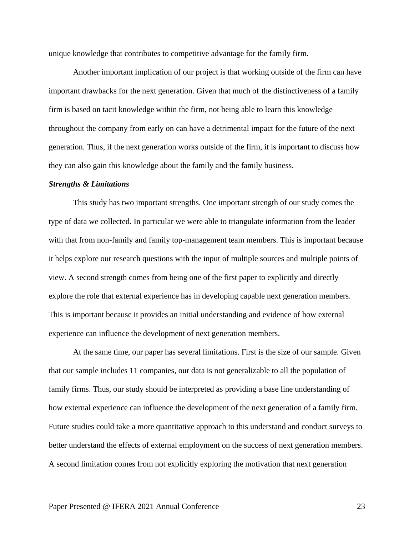unique knowledge that contributes to competitive advantage for the family firm.

Another important implication of our project is that working outside of the firm can have important drawbacks for the next generation. Given that much of the distinctiveness of a family firm is based on tacit knowledge within the firm, not being able to learn this knowledge throughout the company from early on can have a detrimental impact for the future of the next generation. Thus, if the next generation works outside of the firm, it is important to discuss how they can also gain this knowledge about the family and the family business.

#### *Strengths & Limitations*

This study has two important strengths. One important strength of our study comes the type of data we collected. In particular we were able to triangulate information from the leader with that from non-family and family top-management team members. This is important because it helps explore our research questions with the input of multiple sources and multiple points of view. A second strength comes from being one of the first paper to explicitly and directly explore the role that external experience has in developing capable next generation members. This is important because it provides an initial understanding and evidence of how external experience can influence the development of next generation members.

At the same time, our paper has several limitations. First is the size of our sample. Given that our sample includes 11 companies, our data is not generalizable to all the population of family firms. Thus, our study should be interpreted as providing a base line understanding of how external experience can influence the development of the next generation of a family firm. Future studies could take a more quantitative approach to this understand and conduct surveys to better understand the effects of external employment on the success of next generation members. A second limitation comes from not explicitly exploring the motivation that next generation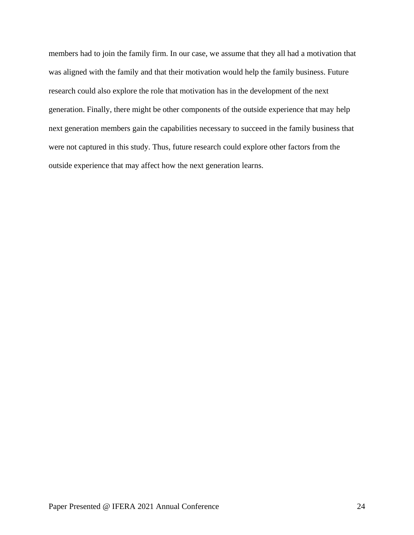members had to join the family firm. In our case, we assume that they all had a motivation that was aligned with the family and that their motivation would help the family business. Future research could also explore the role that motivation has in the development of the next generation. Finally, there might be other components of the outside experience that may help next generation members gain the capabilities necessary to succeed in the family business that were not captured in this study. Thus, future research could explore other factors from the outside experience that may affect how the next generation learns.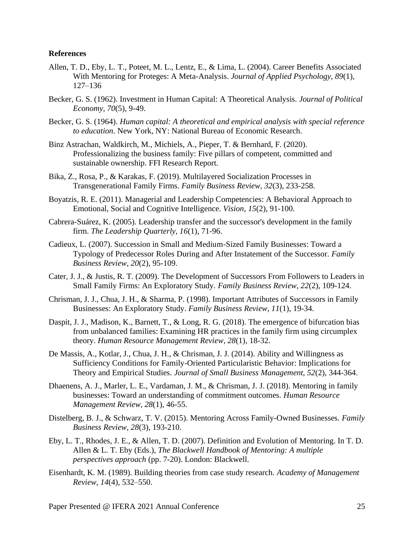#### **References**

- Allen, T. D., Eby, L. T., Poteet, M. L., Lentz, E., & Lima, L. (2004). Career Benefits Associated With Mentoring for Proteges: A Meta-Analysis. *Journal of Applied Psychology, 89*(1), 127–136
- Becker, G. S. (1962). Investment in Human Capital: A Theoretical Analysis. *Journal of Political Economy, 70*(5), 9-49.
- Becker, G. S. (1964). *Human capital: A theoretical and empirical analysis with special reference to education*. New York, NY: National Bureau of Economic Research.
- Binz Astrachan, Waldkirch, M., Michiels, A., Pieper, T. & Bernhard, F. (2020). Professionalizing the business family: Five pillars of competent, committed and sustainable ownership. FFI Research Report.
- Bika, Z., Rosa, P., & Karakas, F. (2019). Multilayered Socialization Processes in Transgenerational Family Firms. *Family Business Review, 32*(3), 233-258.
- Boyatzis, R. E. (2011). Managerial and Leadership Competencies: A Behavioral Approach to Emotional, Social and Cognitive Intelligence. *Vision, 15*(2), 91-100.
- Cabrera-Suárez, K. (2005). Leadership transfer and the successor's development in the family firm. *The Leadership Quarterly, 16*(1), 71-96.
- Cadieux, L. (2007). Succession in Small and Medium-Sized Family Businesses: Toward a Typology of Predecessor Roles During and After Instatement of the Successor. *Family Business Review, 20*(2), 95-109.
- Cater, J. J., & Justis, R. T. (2009). The Development of Successors From Followers to Leaders in Small Family Firms: An Exploratory Study. *Family Business Review, 22*(2), 109-124.
- Chrisman, J. J., Chua, J. H., & Sharma, P. (1998). Important Attributes of Successors in Family Businesses: An Exploratory Study. *Family Business Review, 11*(1), 19-34.
- Daspit, J. J., Madison, K., Barnett, T., & Long, R. G. (2018). The emergence of bifurcation bias from unbalanced families: Examining HR practices in the family firm using circumplex theory. *Human Resource Management Review, 28*(1), 18-32.
- De Massis, A., Kotlar, J., Chua, J. H., & Chrisman, J. J. (2014). Ability and Willingness as Sufficiency Conditions for Family-Oriented Particularistic Behavior: Implications for Theory and Empirical Studies. *Journal of Small Business Management, 52*(2), 344-364.
- Dhaenens, A. J., Marler, L. E., Vardaman, J. M., & Chrisman, J. J. (2018). Mentoring in family businesses: Toward an understanding of commitment outcomes. *Human Resource Management Review, 28*(1), 46-55.
- Distelberg, B. J., & Schwarz, T. V. (2015). Mentoring Across Family-Owned Businesses. *Family Business Review, 28*(3), 193-210.
- Eby, L. T., Rhodes, J. E., & Allen, T. D. (2007). Definition and Evolution of Mentoring. In T. D. Allen & L. T. Eby (Eds.), *The Blackwell Handbook of Mentoring: A multiple perspectives approach* (pp. 7-20). London: Blackwell.
- Eisenhardt, K. M. (1989). Building theories from case study research. *Academy of Management Review*, *14*(4), 532–550.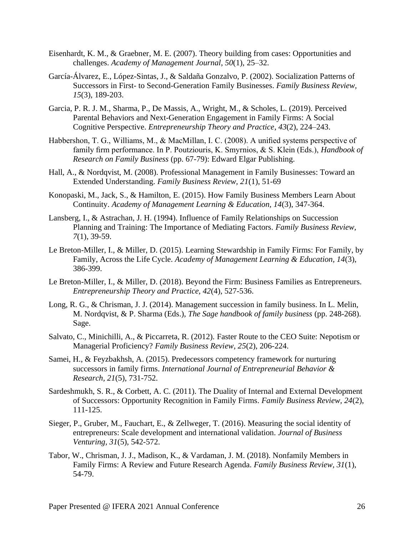- Eisenhardt, K. M., & Graebner, M. E. (2007). Theory building from cases: Opportunities and challenges. *Academy of Management Journal*, *50*(1), 25–32.
- García-Álvarez, E., López-Sintas, J., & Saldaña Gonzalvo, P. (2002). Socialization Patterns of Successors in First- to Second-Generation Family Businesses. *Family Business Review, 15*(3), 189-203.
- Garcia, P. R. J. M., Sharma, P., De Massis, A., Wright, M., & Scholes, L. (2019). Perceived Parental Behaviors and Next-Generation Engagement in Family Firms: A Social Cognitive Perspective. *Entrepreneurship Theory and Practice*, *43*(2), 224–243.
- Habbershon, T. G., Williams, M., & MacMillan, I. C. (2008). A unified systems perspective of family firm performance. In P. Poutziouris, K. Smyrnios, & S. Klein (Eds.), *Handbook of Research on Family Business* (pp. 67-79): Edward Elgar Publishing.
- Hall, A., & Nordqvist, M. (2008). Professional Management in Family Businesses: Toward an Extended Understanding. *Family Business Review, 21*(1), 51-69
- Konopaski, M., Jack, S., & Hamilton, E. (2015). How Family Business Members Learn About Continuity. *Academy of Management Learning & Education, 14*(3), 347-364.
- Lansberg, I., & Astrachan, J. H. (1994). Influence of Family Relationships on Succession Planning and Training: The Importance of Mediating Factors. *Family Business Review, 7*(1), 39-59.
- Le Breton-Miller, I., & Miller, D. (2015). Learning Stewardship in Family Firms: For Family, by Family, Across the Life Cycle. *Academy of Management Learning & Education, 14*(3), 386-399.
- Le Breton-Miller, I., & Miller, D. (2018). Beyond the Firm: Business Families as Entrepreneurs. *Entrepreneurship Theory and Practice, 42*(4), 527-536.
- Long, R. G., & Chrisman, J. J. (2014). Management succession in family business. In L. Melin, M. Nordqvist, & P. Sharma (Eds.), *The Sage handbook of family business* (pp. 248-268). Sage.
- Salvato, C., Minichilli, A., & Piccarreta, R. (2012). Faster Route to the CEO Suite: Nepotism or Managerial Proficiency? *Family Business Review, 25*(2), 206-224.
- Samei, H., & Feyzbakhsh, A. (2015). Predecessors competency framework for nurturing successors in family firms. *International Journal of Entrepreneurial Behavior & Research, 21*(5), 731-752.
- Sardeshmukh, S. R., & Corbett, A. C. (2011). The Duality of Internal and External Development of Successors: Opportunity Recognition in Family Firms. *Family Business Review, 24*(2), 111-125.
- Sieger, P., Gruber, M., Fauchart, E., & Zellweger, T. (2016). Measuring the social identity of entrepreneurs: Scale development and international validation. *Journal of Business Venturing, 31*(5), 542-572.
- Tabor, W., Chrisman, J. J., Madison, K., & Vardaman, J. M. (2018). Nonfamily Members in Family Firms: A Review and Future Research Agenda. *Family Business Review, 31*(1), 54-79.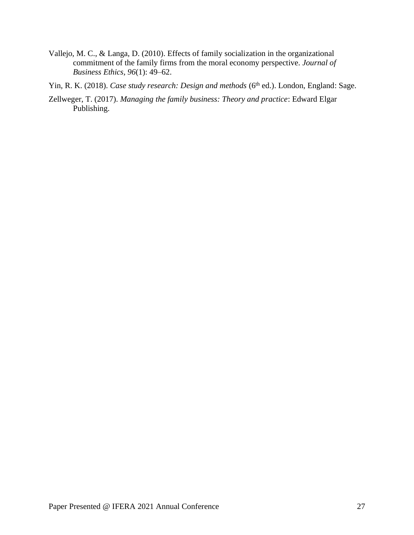- Vallejo, M. C., & Langa, D. (2010). Effects of family socialization in the organizational commitment of the family firms from the moral economy perspective. *Journal of Business Ethics, 96*(1): 49–62.
- Yin, R. K. (2018). *Case study research: Design and methods* (6<sup>th</sup> ed.). London, England: Sage.
- Zellweger, T. (2017). *Managing the family business: Theory and practice*: Edward Elgar Publishing.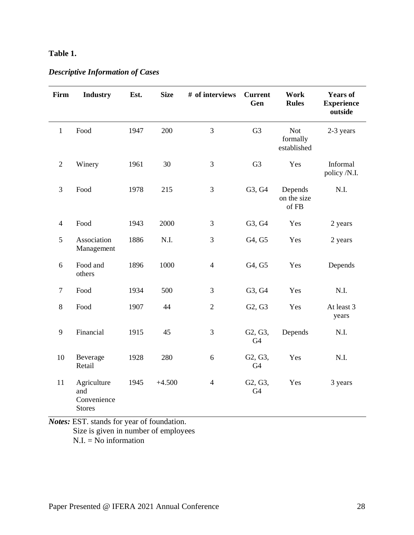# **Table 1.**

## *Descriptive Information of Cases*

| Firm           | <b>Industry</b>                                    | Est. | <b>Size</b> | # of interviews | <b>Current</b><br>Gen     | Work<br><b>Rules</b>                  | <b>Years of</b><br><b>Experience</b><br>outside |
|----------------|----------------------------------------------------|------|-------------|-----------------|---------------------------|---------------------------------------|-------------------------------------------------|
| $\mathbf{1}$   | Food                                               | 1947 | 200         | 3               | G <sub>3</sub>            | <b>Not</b><br>formally<br>established | 2-3 years                                       |
| $\mathfrak{2}$ | Winery                                             | 1961 | 30          | $\mathfrak{Z}$  | G <sub>3</sub>            | Yes                                   | Informal<br>policy /N.I.                        |
| 3              | Food                                               | 1978 | 215         | 3               | G3, G4                    | Depends<br>on the size<br>of FB       | N.I.                                            |
| $\overline{4}$ | Food                                               | 1943 | 2000        | 3               | G3, G4                    | Yes                                   | 2 years                                         |
| 5              | Association<br>Management                          | 1886 | N.I.        | 3               | G4, G5                    | Yes                                   | 2 years                                         |
| 6              | Food and<br>others                                 | 1896 | 1000        | $\overline{4}$  | G4, G5                    | Yes                                   | Depends                                         |
| $\tau$         | Food                                               | 1934 | 500         | 3               | G3, G4                    | Yes                                   | N.I.                                            |
| 8              | Food                                               | 1907 | 44          | $\mathfrak{2}$  | G2, G3                    | Yes                                   | At least 3<br>years                             |
| 9              | Financial                                          | 1915 | 45          | 3               | G2, G3,<br>G <sub>4</sub> | Depends                               | N.I.                                            |
| 10             | Beverage<br>Retail                                 | 1928 | 280         | 6               | G2, G3,<br>G <sub>4</sub> | Yes                                   | N.I.                                            |
| 11             | Agriculture<br>and<br>Convenience<br><b>Stores</b> | 1945 | $+4.500$    | $\overline{4}$  | G2, G3,<br>G <sub>4</sub> | Yes                                   | 3 years                                         |

*Notes:* EST. stands for year of foundation. Size is given in number of employees  $N.I. = No$  information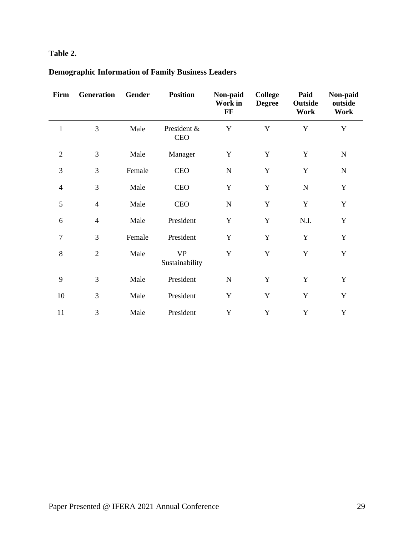# **Table 2.**

| Firm           | Generation     | Gender | <b>Position</b>             | Non-paid<br>Work in<br>FF | <b>College</b><br><b>Degree</b> | Paid<br>Outside<br>Work | Non-paid<br>outside<br>Work |
|----------------|----------------|--------|-----------------------------|---------------------------|---------------------------------|-------------------------|-----------------------------|
| 1              | 3              | Male   | President &<br><b>CEO</b>   | Y                         | Y                               | Y                       | Y                           |
| $\mathfrak{2}$ | 3              | Male   | Manager                     | Y                         | Y                               | $\mathbf Y$             | ${\bf N}$                   |
| 3              | 3              | Female | <b>CEO</b>                  | ${\bf N}$                 | $\mathbf Y$                     | $\mathbf Y$             | ${\bf N}$                   |
| $\overline{4}$ | 3              | Male   | <b>CEO</b>                  | $\mathbf Y$               | $\mathbf Y$                     | $\mathbf N$             | $\mathbf Y$                 |
| 5              | $\overline{4}$ | Male   | <b>CEO</b>                  | ${\bf N}$                 | $\mathbf Y$                     | $\mathbf Y$             | $\mathbf Y$                 |
| 6              | $\overline{4}$ | Male   | President                   | $\mathbf Y$               | $\mathbf Y$                     | N.I.                    | Y                           |
| $\overline{7}$ | 3              | Female | President                   | $\mathbf Y$               | Y                               | Y                       | $\mathbf Y$                 |
| 8              | $\overline{2}$ | Male   | <b>VP</b><br>Sustainability | Y                         | $\mathbf Y$                     | $\mathbf Y$             | $\mathbf Y$                 |
| 9              | 3              | Male   | President                   | ${\bf N}$                 | Y                               | Y                       | Y                           |
| 10             | 3              | Male   | President                   | $\mathbf Y$               | $\mathbf Y$                     | Y                       | $\mathbf Y$                 |
| 11             | 3              | Male   | President                   | Y                         | $\mathbf Y$                     | Y                       | $\mathbf Y$                 |

# **Demographic Information of Family Business Leaders**